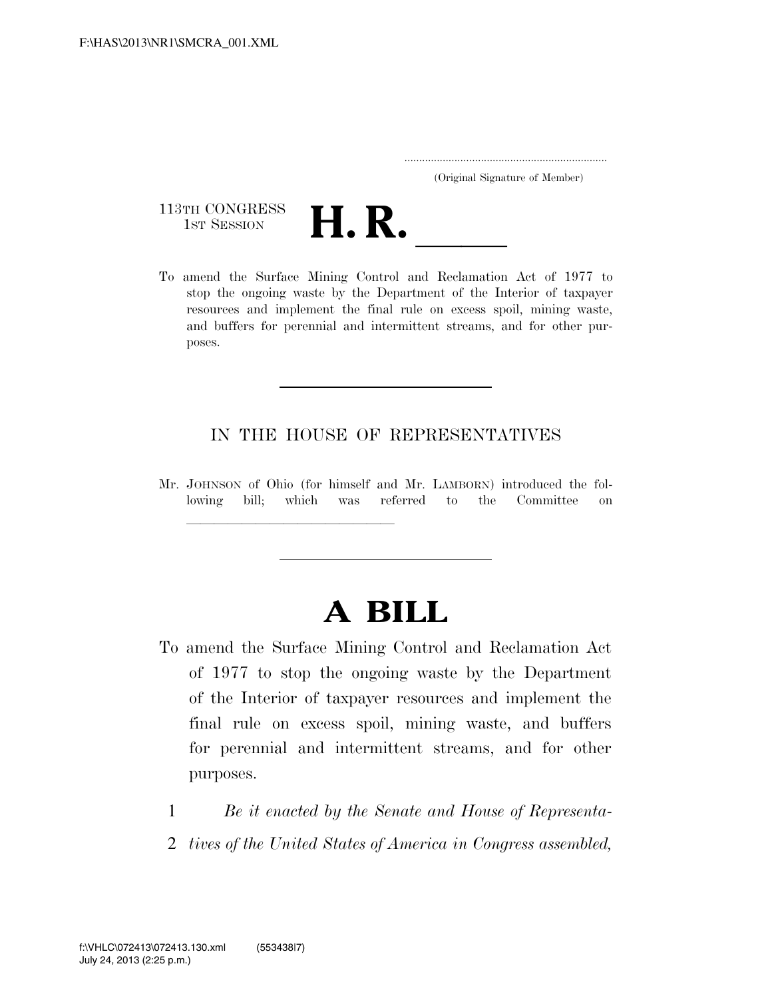| (Original Signature of Member) |  |
|--------------------------------|--|

113TH CONGRESS<br>1st Session



113TH CONGRESS<br>1st SESSION **H. R.** <u>Indice Mining Control</u> and Reclamation Act of 1977 to stop the ongoing waste by the Department of the Interior of taxpayer resources and implement the final rule on excess spoil, mining waste, and buffers for perennial and intermittent streams, and for other purposes.

## IN THE HOUSE OF REPRESENTATIVES

Mr. JOHNSON of Ohio (for himself and Mr. LAMBORN) introduced the following bill; which was referred to the Committee on

llland and a state of the state of the state of the state of the state of the state of the state of the state o

## **A BILL**

- To amend the Surface Mining Control and Reclamation Act of 1977 to stop the ongoing waste by the Department of the Interior of taxpayer resources and implement the final rule on excess spoil, mining waste, and buffers for perennial and intermittent streams, and for other purposes.
	- 1 *Be it enacted by the Senate and House of Representa-*
	- 2 *tives of the United States of America in Congress assembled,*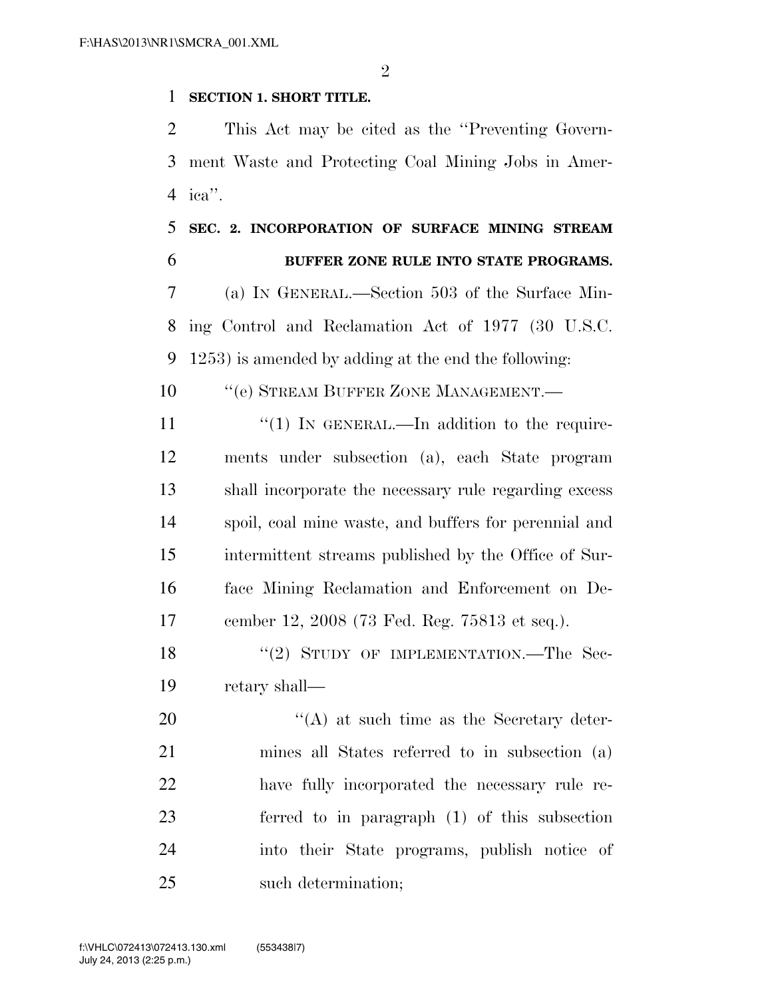$\mathfrak{D}$ 

## **SECTION 1. SHORT TITLE.**

 This Act may be cited as the ''Preventing Govern- ment Waste and Protecting Coal Mining Jobs in Amer-ica''.

## **SEC. 2. INCORPORATION OF SURFACE MINING STREAM BUFFER ZONE RULE INTO STATE PROGRAMS.**

 (a) IN GENERAL.—Section 503 of the Surface Min- ing Control and Reclamation Act of 1977 (30 U.S.C. 1253) is amended by adding at the end the following:

**''**(e) STREAM BUFFER ZONE MANAGEMENT.

 $\frac{1}{1}$  IN GENERAL.—In addition to the require- ments under subsection (a), each State program shall incorporate the necessary rule regarding excess spoil, coal mine waste, and buffers for perennial and intermittent streams published by the Office of Sur- face Mining Reclamation and Enforcement on De-cember 12, 2008 (73 Fed. Reg. 75813 et seq.).

18 "(2) STUDY OF IMPLEMENTATION.—The Sec-retary shall—

 $\langle (A)$  at such time as the Secretary deter- mines all States referred to in subsection (a) have fully incorporated the necessary rule re- ferred to in paragraph (1) of this subsection into their State programs, publish notice of such determination;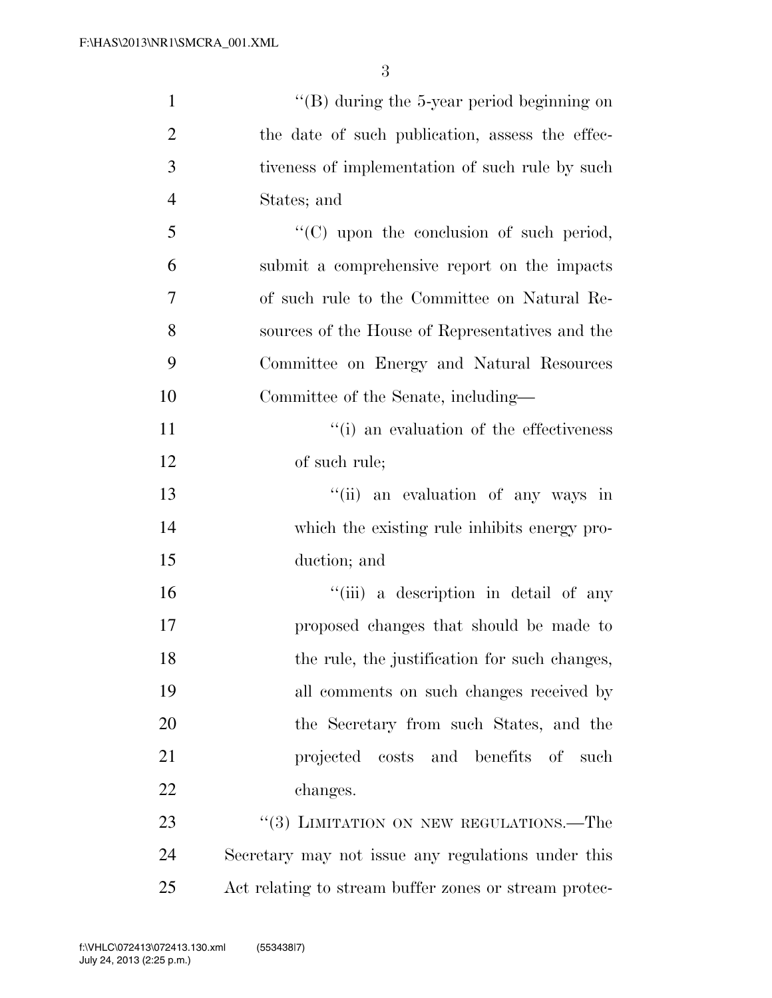| $\mathbf{1}$   | "(B) during the 5-year period beginning on            |
|----------------|-------------------------------------------------------|
| $\overline{2}$ | the date of such publication, assess the effec-       |
| 3              | tiveness of implementation of such rule by such       |
| $\overline{4}$ | States; and                                           |
| 5              | $\lq\lq$ (C) upon the conclusion of such period,      |
| 6              | submit a comprehensive report on the impacts          |
| 7              | of such rule to the Committee on Natural Re-          |
| 8              | sources of the House of Representatives and the       |
| 9              | Committee on Energy and Natural Resources             |
| 10             | Committee of the Senate, including—                   |
| 11             | "(i) an evaluation of the effectiveness               |
| 12             | of such rule;                                         |
| 13             | "(ii) an evaluation of any ways in                    |
| 14             | which the existing rule inhibits energy pro-          |
| 15             | duction; and                                          |
| 16             | "(iii) a description in detail of any                 |
| 17             | proposed changes that should be made to               |
| 18             | the rule, the justification for such changes,         |
| 19             | all comments on such changes received by              |
| 20             | the Secretary from such States, and the               |
| 21             | projected costs and benefits of such                  |
| 22             | changes.                                              |
| 23             | "(3) LIMITATION ON NEW REGULATIONS.—The               |
| 24             | Secretary may not issue any regulations under this    |
| 25             | Act relating to stream buffer zones or stream protec- |